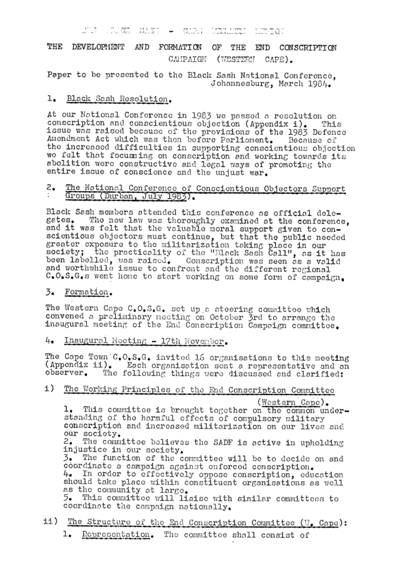$O_{\text{max}}(1)$  . The constant and Jose store – 15XX-II ON

THE DEVELOPMENT AND FORMATION THE END CONSCRIPTION OF CAMPAIGN (WESTERN CAPE).

Paper to be presented to the Black Sash National Conference, Johannesburg, March 1984.

#### 1. Black Sash Resolution.

At our National Conference in 1983 we passed a resolution on conscription and conscientious objection (Appendix i). This issue was raised because of the provisions of the 1983 Defence Amendment Act which was then before Parliament. Because of the increased difficulties in supporting conscientious objection we felt that focussing on conscription and working towards its abolition were constructive and legal ways of promoting the entire issue of conscience and the unjust war.

### The National Conference of Conscientious Objectors Support 2. Groups (Durban, July 1983).

Black Sash members attended this conference as official dele-The new law was thoroughly examined at the conference, gates. and it was felt that the valuable moral support given to conscientious objectors must continue, but that the public needed greater exposure to the militarization taking place in our society; the practicality of the "Black Sash Call", as it has been labelled, was raised. Conscription was seen as a valid and worthwhile issue to confront and the different regional C.O.S.G.s went home to start working on some form of campaign.

#### Formation. 3.

The Western Cape C.O.S.G. set up a steering committee which convened a preliminary meeting on October 3rd to arrange the inaugural meeting of the End Conscription Campaign committee.

Inaugural Meeting - 17th November. 4.

The Cape Town C.O.S.G. invited 16 organisations to this meeting (Appendix ii). Each organisation sent a representative and an observer. The following things were discussed and clarified:

The Working Principles of the End Conscription Committee i)

(Western Cape). 1. This committee is brought together on the common understanding of the harmful effects of compulsory military conscription and increased militarization on our lives and our society.

The committee believes the SADF is active in upholding 2. injustice in our society.

The function of the committee will be to decide on and 3. coordinate a campaign against enforced conscription. In order to effectively oppose conscription, education 4∙ should take place within constituent organisations as well as the community at large.

This committee will liaise with similar committees to 5. coordinate the campaign nationally.

ii) The Structure of the End Conscription Committee (V. Cape): l. The committee shall consist of Representation.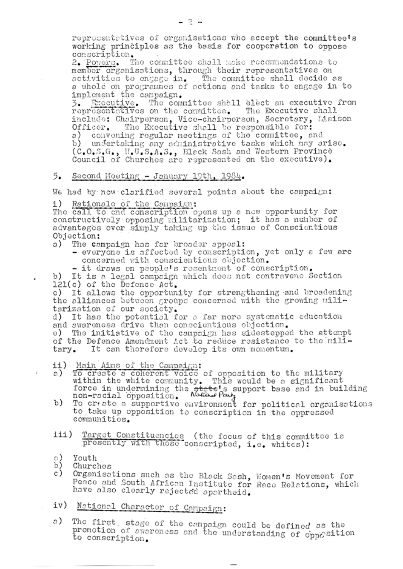representatives of organisations who accept the committee's working principles as the basis for cooperation to oppose conscription.

2. Powers. The committee shall make recommendations to member organisations, through their representatives on activities to engage in. The committee shall decide as a whole on programmes of actions and tasks to engage in to imploment the campaign.

3. Executive. The committee shall elect an executive from representatives on the committee. The Executive shall include: Chairperson, Vice-chairperson, Secretary, Liaison Officer. The Executive shall be responsible for: a) convening regular meetings of the committee, and undertaking any administrative tasks which may ariso. b) – (C.O.S.G., H.U.S.A.S., Black Sash and Western Province Council of Churches are represented on the executive).

# 5. Second Meeting - January 19th, 1984.

We had by now clarified several points about the campaign:

i) Rationale of the Campaign:

The call to end conscription opens up a new opportunity for constructively opposing militarization; it has a number of advantages over simply taking up the issue of Conscientious Objection:

The campaign has far broader appeal: a)

- everyone is affected by conscription, yet only a few are concerned with conscientious objection.

- it draws on people's resentment of conscription.

b) It is a legal campaign which does not contravene Section 121(c) of the Defence Act.

c) It allows the opportunity for strengthening and broadening the alliances between groups concerned with the growing militarization of our society.

d) It has the potential for a far more systematic education and awareness drive than conscientious objection.

e) The initiative of the campaign has sidestepped the attempt of the Defence Amendment Act to reduce resistance to the military. It can therefore develop its own momentum.

- ii) Main Aims of the Campaign:
- To create a coherent voice of opposition to the military a ) within the white community. This would be a significant force in undermining the state's support base and in building<br>non-racial opposition. Nation party
- To create a supportive environment for political organisations b) to take up opposition to conscription in the oppressed communities.
- Target Constituencies (the focus of this committee is iii) presently with those conscripted, i.e. whites):

a) Youth b) Churches

 $\bar{L}$ 

Organisations such as the Black Sash, Women's Movement for c) Peace and South African Institute for Race Relations, which have also clearly rejected apartheid.

National Character of Campaign: iv)

a) The first, stage of the campaign could be defined as the promotion of awareness and the understanding of opposition to conscription.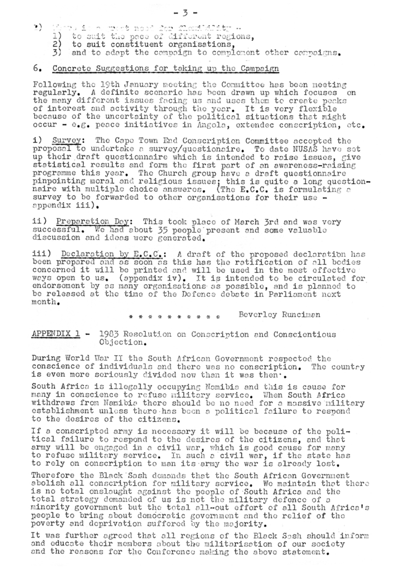- 1) There is a proof nood for flowindity -
	- 1) to suit the pace of different regions,
	- 2) to suit constituent organisations,
	- 3) and to adapt the campaign to complement other campaigns.

## 6. Concrete Suggestions for taking up the Campaign

Following the 19th January meeting the Committee has been meeting regularly. A definite scenario has been drawn up which focuses on the many different issues facing us and uses them to create peaks of interest and activity through the year. It is very flexible because of the uncertainty of the political situations that might occur - e.g. peace initiatives in Angola, extendec conscription, etc.

i) Survey: The Cape Town End Conscription Committee accepted the proposal to undertake a survey/questionaire. To date NUSAS have set up their draft questionnaire which is intended to raise issues, give statistical results and form the first part of an awareness-raising programme this year. The Church group have a draft questionnaire pinpointing moral and religious issues; this is quite a long questionnaire with multiple choice answeres. (The E.C.C. is formulating a survey to be forwarded to other organisations for their use appendix iii).

ii) Preparation Day: This took place of March 3rd and was very successful. We had about 35 people present and some valuable discussion and ideas were generated.

iii) Declaration by E.C.C.: A draft of the proposed declaration has been prepared and as soon as this has the ratification of all bodies concerned it will be printed and will be used in the most effective ways open to us. (appendix iv). It is intended to be circulated for endorsement by as many organisations as possible, and is planned to be released at the time of the Defence debate in Parliament next month.

> Beverley Runciman \* \* \* \* \* \* \*

 $APPENDIX 1 - 1983$  Resolution on Conscription and Conscientious Objection.

During World War II the South African Government respected the conscience of individuals and there was no conscription. The countey is even more seriously divided now than it was then..

South Africa is illegally occupying Namibia and this is cause for many in conscience to refuse military service. When South Africa withdraws from Namibia there should be no need for a massive military establishment unless there has been a political failure to respond to the desires of the citizens.

If a conscripted army is necessary it will be because of the political failure to respond to the desires of the citizens, and that army will be engaged in a civil war, which is good cause for many to refuse military service. In such a civil war, if the state has to rely on conscription to man its army the war is already lost.

Therefore the Black Sash demands that the South African Government abolish all conscription for military service. We maintain that there is no total onslaught against the people of South Africa and the total strategy demanded of us is not the military defence of a minority government but the total all-out effort of all South Africa's people to bring about democratic government and the relief of the poverty and deprivation suffered by the majority.

It was further agreed that all regions of the Black Sash should inform and educate their members about the militarisation of our society and the reasons for the Conforonco making the above statement.